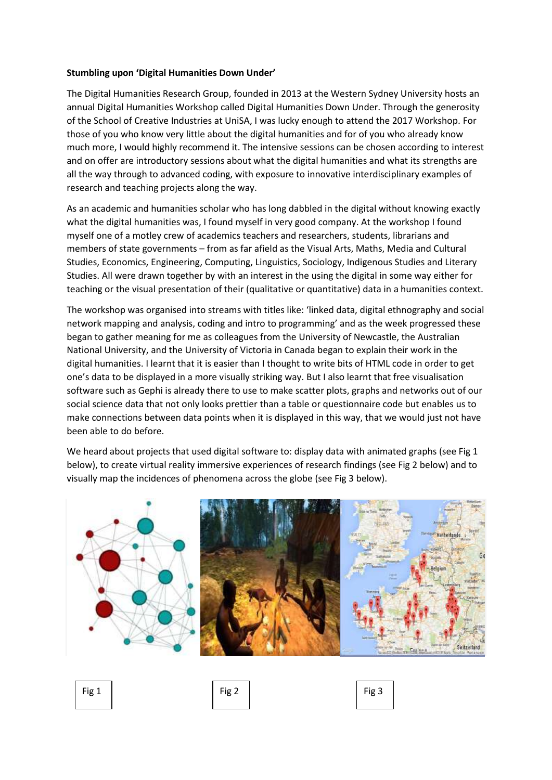## **Stumbling upon 'Digital Humanities Down Under'**

The Digital Humanities Research Group, founded in 2013 at the Western Sydney University hosts an annual Digital Humanities Workshop called Digital Humanities Down Under. Through the generosity of the School of Creative Industries at UniSA, I was lucky enough to attend the 2017 Workshop. For those of you who know very little about the digital humanities and for of you who already know much more, I would highly recommend it. The intensive sessions can be chosen according to interest and on offer are introductory sessions about what the digital humanities and what its strengths are all the way through to advanced coding, with exposure to innovative interdisciplinary examples of research and teaching projects along the way.

As an academic and humanities scholar who has long dabbled in the digital without knowing exactly what the digital humanities was, I found myself in very good company. At the workshop I found myself one of a motley crew of academics teachers and researchers, students, librarians and members of state governments – from as far afield as the Visual Arts, Maths, Media and Cultural Studies, Economics, Engineering, Computing, Linguistics, Sociology, Indigenous Studies and Literary Studies. All were drawn together by with an interest in the using the digital in some way either for teaching or the visual presentation of their (qualitative or quantitative) data in a humanities context.

The workshop was organised into streams with titles like: 'linked data, digital ethnography and social network mapping and analysis, coding and intro to programming' and as the week progressed these began to gather meaning for me as colleagues from the University of Newcastle, the Australian National University, and the University of Victoria in Canada began to explain their work in the digital humanities. I learnt that it is easier than I thought to write bits of HTML code in order to get one's data to be displayed in a more visually striking way. But I also learnt that free visualisation software such as Gephi is already there to use to make scatter plots, graphs and networks out of our social science data that not only looks prettier than a table or questionnaire code but enables us to make connections between data points when it is displayed in this way, that we would just not have been able to do before.

We heard about projects that used digital software to: display data with animated graphs (see Fig 1 below), to create virtual reality immersive experiences of research findings (see Fig 2 below) and to visually map the incidences of phenomena across the globe (see Fig 3 below).



Fig 1 | Fig 2 | Fig 3 | Fig 3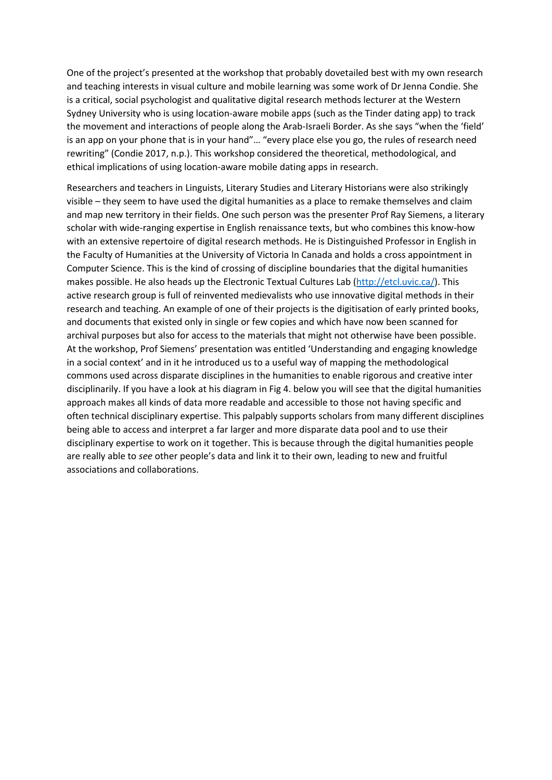One of the project's presented at the workshop that probably dovetailed best with my own research and teaching interests in visual culture and mobile learning was some work of Dr Jenna Condie. She is a critical, social psychologist and qualitative digital research methods lecturer at the Western Sydney University who is using location-aware mobile apps (such as the Tinder dating app) to track the movement and interactions of people along the Arab-Israeli Border. As she says "when the 'field' is an app on your phone that is in your hand"… "every place else you go, the rules of research need rewriting" (Condie 2017, n.p.). This workshop considered the theoretical, methodological, and ethical implications of using location-aware mobile dating apps in research.

Researchers and teachers in Linguists, Literary Studies and Literary Historians were also strikingly visible – they seem to have used the digital humanities as a place to remake themselves and claim and map new territory in their fields. One such person was the presenter Prof Ray Siemens, a literary scholar with wide-ranging expertise in English renaissance texts, but who combines this know-how with an extensive repertoire of digital research methods. He is Distinguished Professor in English in the Faculty of Humanities at the University of Victoria In Canada and holds a cross appointment in Computer Science. This is the kind of crossing of discipline boundaries that the digital humanities makes possible. He also heads up the Electronic Textual Cultures Lab [\(http://etcl.uvic.ca/\)](http://etcl.uvic.ca/). This active research group is full of reinvented medievalists who use innovative digital methods in their research and teaching. An example of one of their projects is the digitisation of early printed books, and documents that existed only in single or few copies and which have now been scanned for archival purposes but also for access to the materials that might not otherwise have been possible. At the workshop, Prof Siemens' presentation was entitled 'Understanding and engaging knowledge in a social context' and in it he introduced us to a useful way of mapping the methodological commons used across disparate disciplines in the humanities to enable rigorous and creative inter disciplinarily. If you have a look at his diagram in Fig 4. below you will see that the digital humanities approach makes all kinds of data more readable and accessible to those not having specific and often technical disciplinary expertise. This palpably supports scholars from many different disciplines being able to access and interpret a far larger and more disparate data pool and to use their disciplinary expertise to work on it together. This is because through the digital humanities people are really able to *see* other people's data and link it to their own, leading to new and fruitful associations and collaborations.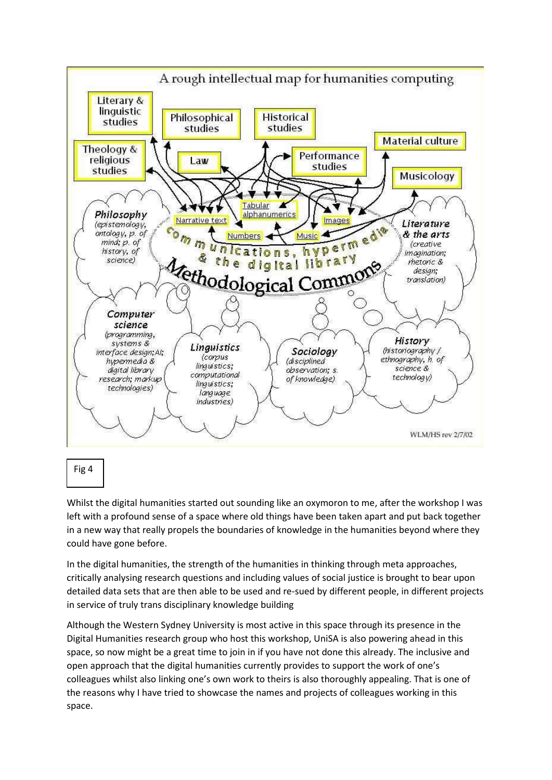

Whilst the digital humanities started out sounding like an oxymoron to me, after the workshop I was left with a profound sense of a space where old things have been taken apart and put back together in a new way that really propels the boundaries of knowledge in the humanities beyond where they could have gone before.

In the digital humanities, the strength of the humanities in thinking through meta approaches, critically analysing research questions and including values of social justice is brought to bear upon detailed data sets that are then able to be used and re-sued by different people, in different projects in service of truly trans disciplinary knowledge building

Although the Western Sydney University is most active in this space through its presence in the Digital Humanities research group who host this workshop, UniSA is also powering ahead in this space, so now might be a great time to join in if you have not done this already. The inclusive and open approach that the digital humanities currently provides to support the work of one's colleagues whilst also linking one's own work to theirs is also thoroughly appealing. That is one of the reasons why I have tried to showcase the names and projects of colleagues working in this space.